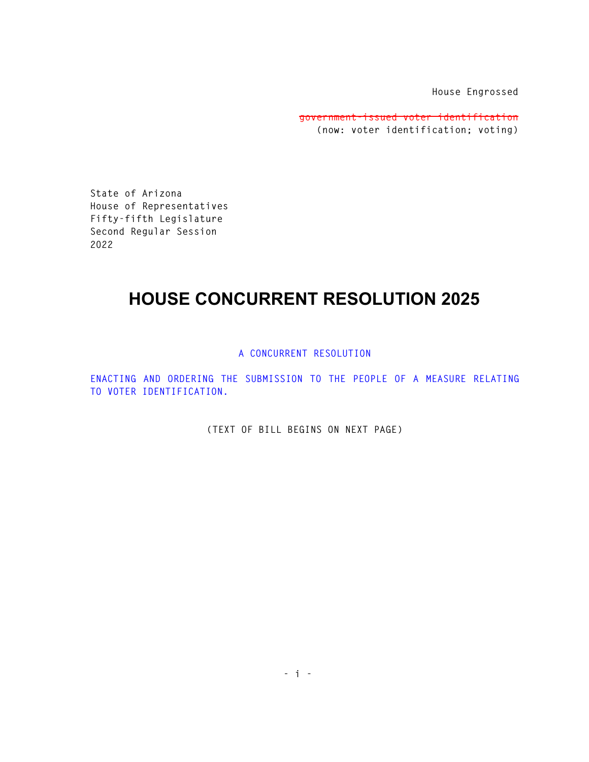**House Engrossed** 

**government-issued voter identification (now: voter identification; voting)** 

**State of Arizona House of Representatives Fifty-fifth Legislature Second Regular Session 2022** 

## **HOUSE CONCURRENT RESOLUTION 2025**

**A CONCURRENT RESOLUTION** 

**ENACTING AND ORDERING THE SUBMISSION TO THE PEOPLE OF A MEASURE RELATING TO VOTER IDENTIFICATION.** 

**(TEXT OF BILL BEGINS ON NEXT PAGE)**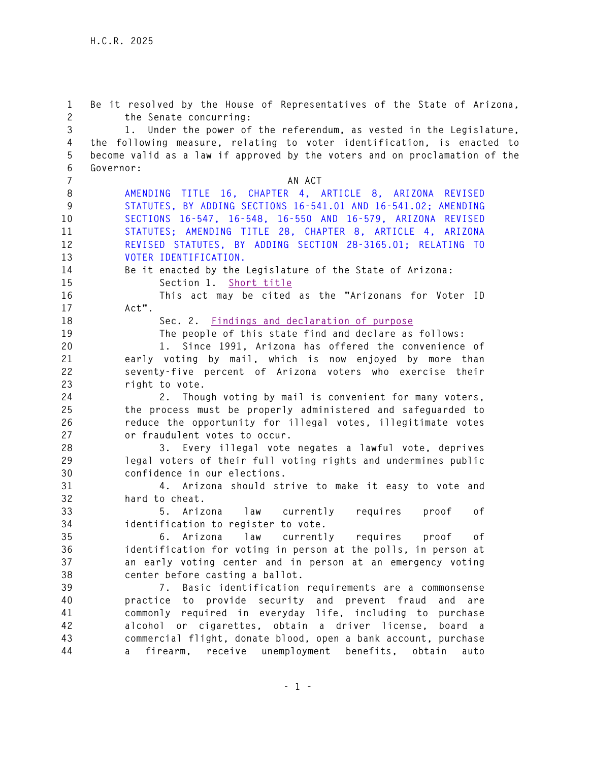**1 Be it resolved by the House of Representatives of the State of Arizona, 2 the Senate concurring: 3 1. Under the power of the referendum, as vested in the Legislature, 4 the following measure, relating to voter identification, is enacted to 5 become valid as a law if approved by the voters and on proclamation of the 6 Governor: 7** AN ACT **8 AMENDING TITLE 16, CHAPTER 4, ARTICLE 8, ARIZONA REVISED 9 STATUTES, BY ADDING SECTIONS 16-541.01 AND 16-541.02; AMENDING 10 SECTIONS 16-547, 16-548, 16-550 AND 16-579, ARIZONA REVISED 11 STATUTES; AMENDING TITLE 28, CHAPTER 8, ARTICLE 4, ARIZONA 12 REVISED STATUTES, BY ADDING SECTION 28-3165.01; RELATING TO 13 VOTER IDENTIFICATION. 14 Be it enacted by the Legislature of the State of Arizona: 15 Section 1. Short title 16 This act may be cited as the "Arizonans for Voter ID 17 Act". 18 Sec. 2. Findings and declaration of purpose 19 The people of this state find and declare as follows: 20 1. Since 1991, Arizona has offered the convenience of 21 early voting by mail, which is now enjoyed by more than 22 seventy-five percent of Arizona voters who exercise their 23 right to vote. 24 2. Though voting by mail is convenient for many voters, 25 the process must be properly administered and safeguarded to 26 reduce the opportunity for illegal votes, illegitimate votes 27 or fraudulent votes to occur. 28 3. Every illegal vote negates a lawful vote, deprives 29 legal voters of their full voting rights and undermines public 30 confidence in our elections. 31 4. Arizona should strive to make it easy to vote and 32 hard to cheat. 33 5. Arizona law currently requires proof of 34 identification to register to vote. 35 6. Arizona law currently requires proof of 36 identification for voting in person at the polls, in person at 37 an early voting center and in person at an emergency voting 38 center before casting a ballot. 39 7. Basic identification requirements are a commonsense 40 practice to provide security and prevent fraud and are 41 commonly required in everyday life, including to purchase 42 alcohol or cigarettes, obtain a driver license, board a 43 commercial flight, donate blood, open a bank account, purchase 44 a firearm, receive unemployment benefits, obtain auto**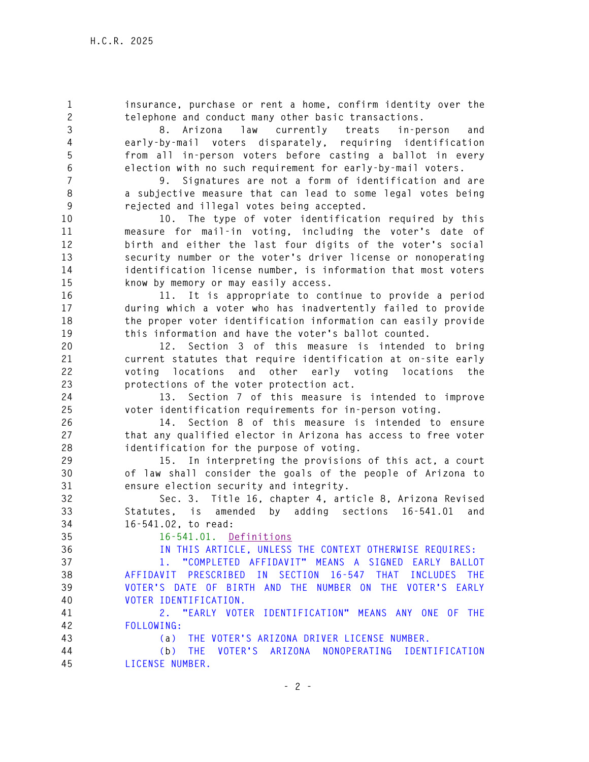**1 insurance, purchase or rent a home, confirm identity over the 2 telephone and conduct many other basic transactions. 3 8. Arizona law currently treats in-person and 4 early-by-mail voters disparately, requiring identification 5 from all in-person voters before casting a ballot in every 6 election with no such requirement for early-by-mail voters. 7 9. Signatures are not a form of identification and are 8 a subjective measure that can lead to some legal votes being 9 rejected and illegal votes being accepted. 10 10. The type of voter identification required by this 11 measure for mail-in voting, including the voter's date of 12 birth and either the last four digits of the voter's social 13 security number or the voter's driver license or nonoperating 14 identification license number, is information that most voters 15 know by memory or may easily access. 16 11. It is appropriate to continue to provide a period 17 during which a voter who has inadvertently failed to provide 18 the proper voter identification information can easily provide 19 this information and have the voter's ballot counted. 20 12. Section 3 of this measure is intended to bring 21 current statutes that require identification at on-site early 22 voting locations and other early voting locations the 23 protections of the voter protection act. 24 13. Section 7 of this measure is intended to improve 25 voter identification requirements for in-person voting. 26 14. Section 8 of this measure is intended to ensure 27 that any qualified elector in Arizona has access to free voter 28 identification for the purpose of voting. 29 15. In interpreting the provisions of this act, a court 30 of law shall consider the goals of the people of Arizona to 31 ensure election security and integrity. 32 Sec. 3. Title 16, chapter 4, article 8, Arizona Revised 33 Statutes, is amended by adding sections 16-541.01 and 34 16-541.02, to read: 35 16-541.01. Definitions 36 IN THIS ARTICLE, UNLESS THE CONTEXT OTHERWISE REQUIRES: 37 1. "COMPLETED AFFIDAVIT" MEANS A SIGNED EARLY BALLOT 38 AFFIDAVIT PRESCRIBED IN SECTION 16-547 THAT INCLUDES THE 39 VOTER'S DATE OF BIRTH AND THE NUMBER ON THE VOTER'S EARLY 40 VOTER IDENTIFICATION. 41 2. "EARLY VOTER IDENTIFICATION" MEANS ANY ONE OF THE 42 FOLLOWING: 43 (a) THE VOTER'S ARIZONA DRIVER LICENSE NUMBER. 44 (b) THE VOTER'S ARIZONA NONOPERATING IDENTIFICATION 45 LICENSE NUMBER.**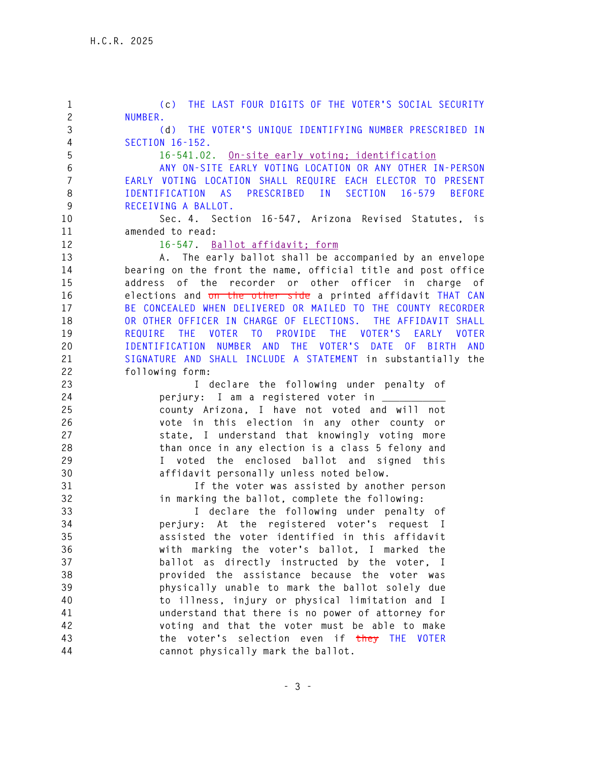**1 (c) THE LAST FOUR DIGITS OF THE VOTER'S SOCIAL SECURITY 2 NUMBER. 3 (d) THE VOTER'S UNIQUE IDENTIFYING NUMBER PRESCRIBED IN 4 SECTION 16-152. 5 16-541.02. On-site early voting; identification 6 ANY ON-SITE EARLY VOTING LOCATION OR ANY OTHER IN-PERSON 7 EARLY VOTING LOCATION SHALL REQUIRE EACH ELECTOR TO PRESENT 8 IDENTIFICATION AS PRESCRIBED IN SECTION 16-579 BEFORE 9 RECEIVING A BALLOT. 10 Sec. 4. Section 16-547, Arizona Revised Statutes, is 11 amended to read: 12 16-547. Ballot affidavit; form 13 A. The early ballot shall be accompanied by an envelope 14 bearing on the front the name, official title and post office 15 address of the recorder or other officer in charge of 16 elections and on the other side a printed affidavit THAT CAN 17 BE CONCEALED WHEN DELIVERED OR MAILED TO THE COUNTY RECORDER 18 OR OTHER OFFICER IN CHARGE OF ELECTIONS. THE AFFIDAVIT SHALL 19 REQUIRE THE VOTER TO PROVIDE THE VOTER'S EARLY VOTER 20 IDENTIFICATION NUMBER AND THE VOTER'S DATE OF BIRTH AND 21 SIGNATURE AND SHALL INCLUDE A STATEMENT in substantially the 22 following form: 23 I declare the following under penalty of 24 perjury: I am a registered voter in \_\_\_\_\_\_\_\_\_\_\_ 25 county Arizona, I have not voted and will not 26 vote in this election in any other county or 27 state, I understand that knowingly voting more 28 than once in any election is a class 5 felony and 29 I voted the enclosed ballot and signed this 30 affidavit personally unless noted below. 31 If the voter was assisted by another person 32 in marking the ballot, complete the following: 33 I declare the following under penalty of 34 perjury: At the registered voter's request I 35 assisted the voter identified in this affidavit 36 with marking the voter's ballot, I marked the 37 ballot as directly instructed by the voter, I 38 provided the assistance because the voter was 39 physically unable to mark the ballot solely due 40 to illness, injury or physical limitation and I 41 understand that there is no power of attorney for 42 voting and that the voter must be able to make 43 the voter's selection even if they THE VOTER 44 cannot physically mark the ballot.**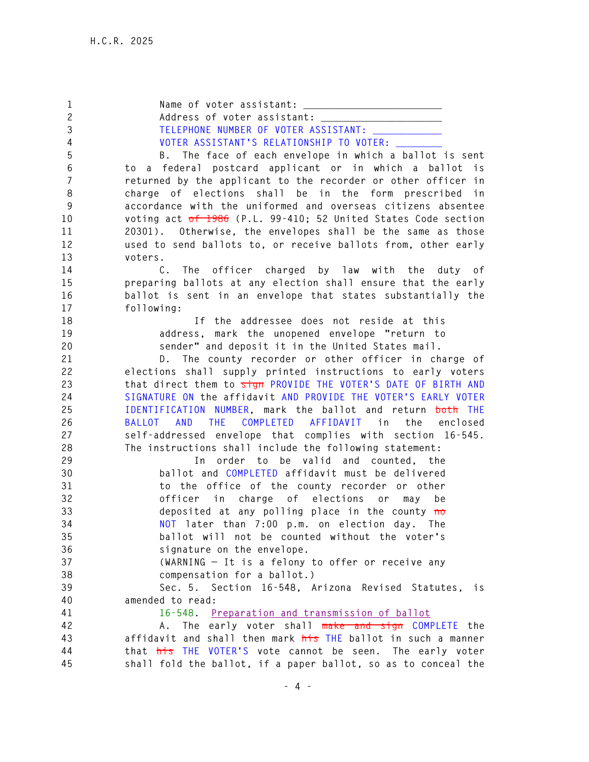1 Name of voter assistant: **2 Address of voter assistant: \_\_\_\_\_\_\_\_\_\_\_\_\_\_\_\_\_\_\_\_\_**  3 TELEPHONE NUMBER OF VOTER ASSISTANT: **4 VOTER ASSISTANT'S RELATIONSHIP TO VOTER: \_\_\_\_\_\_\_\_ 5 B. The face of each envelope in which a ballot is sent 6 to a federal postcard applicant or in which a ballot is 7 returned by the applicant to the recorder or other officer in 8 charge of elections shall be in the form prescribed in 9 accordance with the uniformed and overseas citizens absentee 10 voting act of 1986 (P.L. 99-410; 52 United States Code section 11 20301). Otherwise, the envelopes shall be the same as those 12 used to send ballots to, or receive ballots from, other early 13 voters. 14 C. The officer charged by law with the duty of 15 preparing ballots at any election shall ensure that the early 16 ballot is sent in an envelope that states substantially the 17 following: 18 If the addressee does not reside at this 19 address, mark the unopened envelope "return to 20 sender" and deposit it in the United States mail. 21 D. The county recorder or other officer in charge of 22 elections shall supply printed instructions to early voters 23 that direct them to sign PROVIDE THE VOTER'S DATE OF BIRTH AND 24 SIGNATURE ON the affidavit AND PROVIDE THE VOTER'S EARLY VOTER 25 IDENTIFICATION NUMBER, mark the ballot and return both THE 26 BALLOT AND THE COMPLETED AFFIDAVIT in the enclosed 27 self-addressed envelope that complies with section 16-545. 28 The instructions shall include the following statement: 29 In order to be valid and counted, the 30 ballot and COMPLETED affidavit must be delivered 31 to the office of the county recorder or other 32 officer in charge of elections or may be 33 deposited at any polling place in the county no 34 NOT later than 7:00 p.m. on election day. The 35 ballot will not be counted without the voter's 36 signature on the envelope. 37 (WARNING — It is a felony to offer or receive any 38 compensation for a ballot.) 39 Sec. 5. Section 16-548, Arizona Revised Statutes, is 40 amended to read: 41 16-548. Preparation and transmission of ballot 42 A. The early voter shall make and sign COMPLETE the 43 affidavit and shall then mark his THE ballot in such a manner 44 that his THE VOTER'S vote cannot be seen. The early voter 45 shall fold the ballot, if a paper ballot, so as to conceal the**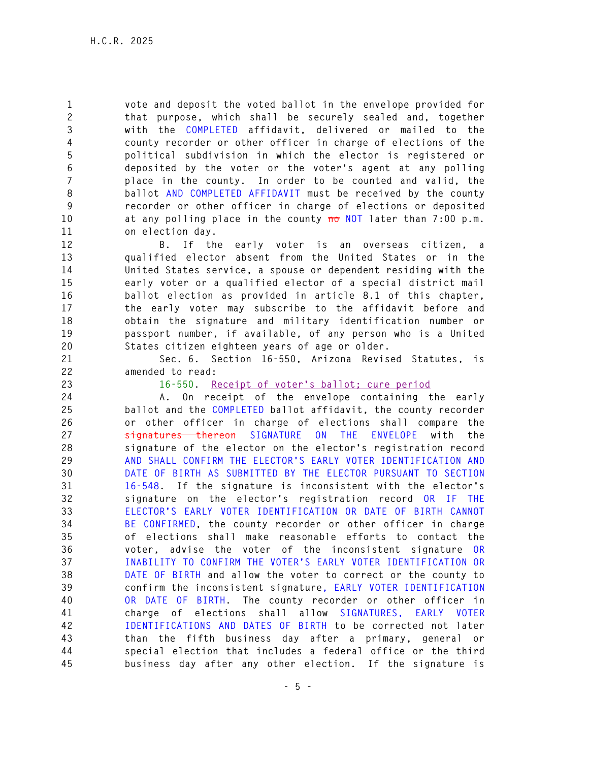**1 vote and deposit the voted ballot in the envelope provided for 2 that purpose, which shall be securely sealed and, together 3 with the COMPLETED affidavit, delivered or mailed to the 4 county recorder or other officer in charge of elections of the 5 political subdivision in which the elector is registered or 6 deposited by the voter or the voter's agent at any polling 7 place in the county. In order to be counted and valid, the 8 ballot AND COMPLETED AFFIDAVIT must be received by the county 9 recorder or other officer in charge of elections or deposited 10 at any polling place in the county no NOT later than 7:00 p.m. 11 on election day.** 

**12 B. If the early voter is an overseas citizen, a 13 qualified elector absent from the United States or in the 14 United States service, a spouse or dependent residing with the 15 early voter or a qualified elector of a special district mail 16 ballot election as provided in article 8.1 of this chapter, 17 the early voter may subscribe to the affidavit before and 18 obtain the signature and military identification number or 19 passport number, if available, of any person who is a United 20 States citizen eighteen years of age or older.** 

**21 Sec. 6. Section 16-550, Arizona Revised Statutes, is 22 amended to read:** 

**23 16-550. Receipt of voter's ballot; cure period**

**24 A. On receipt of the envelope containing the early 25 ballot and the COMPLETED ballot affidavit, the county recorder 26 or other officer in charge of elections shall compare the 27 signatures thereon SIGNATURE ON THE ENVELOPE with the 28 signature of the elector on the elector's registration record 29 AND SHALL CONFIRM THE ELECTOR'S EARLY VOTER IDENTIFICATION AND 30 DATE OF BIRTH AS SUBMITTED BY THE ELECTOR PURSUANT TO SECTION 31 16-548. If the signature is inconsistent with the elector's 32 signature on the elector's registration record OR IF THE 33 ELECTOR'S EARLY VOTER IDENTIFICATION OR DATE OF BIRTH CANNOT 34 BE CONFIRMED, the county recorder or other officer in charge 35 of elections shall make reasonable efforts to contact the 36 voter, advise the voter of the inconsistent signature OR 37 INABILITY TO CONFIRM THE VOTER'S EARLY VOTER IDENTIFICATION OR 38 DATE OF BIRTH and allow the voter to correct or the county to 39 confirm the inconsistent signature, EARLY VOTER IDENTIFICATION 40 OR DATE OF BIRTH. The county recorder or other officer in 41 charge of elections shall allow SIGNATURES, EARLY VOTER 42 IDENTIFICATIONS AND DATES OF BIRTH to be corrected not later 43 than the fifth business day after a primary, general or 44 special election that includes a federal office or the third 45 business day after any other election. If the signature is**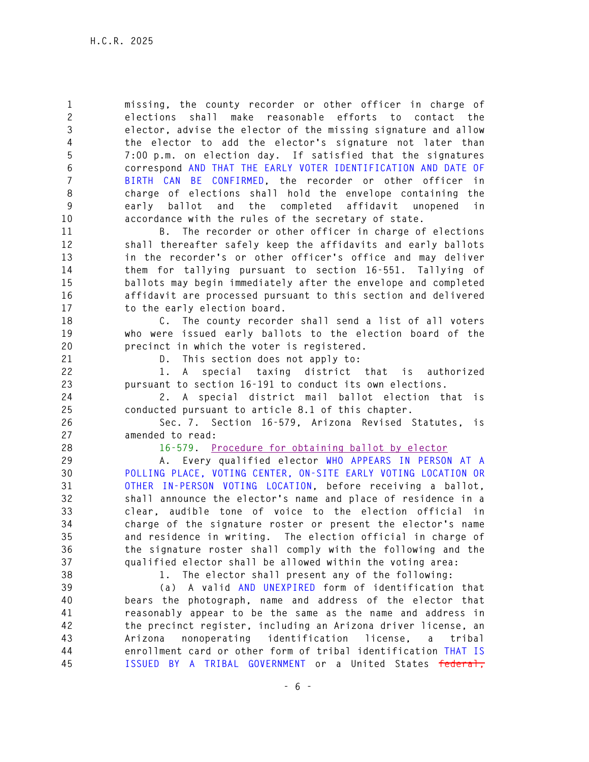**1 missing, the county recorder or other officer in charge of 2 elections shall make reasonable efforts to contact the 3 elector, advise the elector of the missing signature and allow 4 the elector to add the elector's signature not later than 5 7:00 p.m. on election day. If satisfied that the signatures 6 correspond AND THAT THE EARLY VOTER IDENTIFICATION AND DATE OF 7 BIRTH CAN BE CONFIRMED, the recorder or other officer in 8 charge of elections shall hold the envelope containing the 9 early ballot and the completed affidavit unopened in 10 accordance with the rules of the secretary of state.** 

**11 B. The recorder or other officer in charge of elections 12 shall thereafter safely keep the affidavits and early ballots 13 in the recorder's or other officer's office and may deliver 14 them for tallying pursuant to section 16-551. Tallying of 15 ballots may begin immediately after the envelope and completed 16 affidavit are processed pursuant to this section and delivered 17 to the early election board.** 

**18 C. The county recorder shall send a list of all voters 19 who were issued early ballots to the election board of the 20 precinct in which the voter is registered.** 

**21 D. This section does not apply to:** 

**22 1. A special taxing district that is authorized 23 pursuant to section 16-191 to conduct its own elections.** 

**24 2. A special district mail ballot election that is 25 conducted pursuant to article 8.1 of this chapter.** 

**26 Sec. 7. Section 16-579, Arizona Revised Statutes, is 27 amended to read:** 

**28 16-579. Procedure for obtaining ballot by elector**

**29 A. Every qualified elector WHO APPEARS IN PERSON AT A 30 POLLING PLACE, VOTING CENTER, ON-SITE EARLY VOTING LOCATION OR 31 OTHER IN-PERSON VOTING LOCATION, before receiving a ballot, 32 shall announce the elector's name and place of residence in a 33 clear, audible tone of voice to the election official in 34 charge of the signature roster or present the elector's name 35 and residence in writing. The election official in charge of 36 the signature roster shall comply with the following and the 37 qualified elector shall be allowed within the voting area:** 

**38 1. The elector shall present any of the following:** 

**39 (a) A valid AND UNEXPIRED form of identification that 40 bears the photograph, name and address of the elector that 41 reasonably appear to be the same as the name and address in 42 the precinct register, including an Arizona driver license, an 43 Arizona nonoperating identification license, a tribal 44 enrollment card or other form of tribal identification THAT IS 45 ISSUED BY A TRIBAL GOVERNMENT or a United States federal,**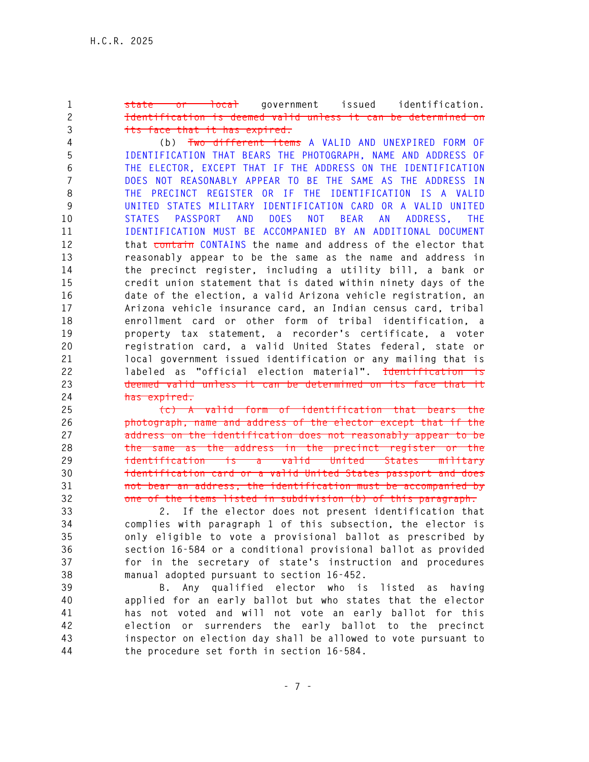**1 state or local government issued identification. 2 Identification is deemed valid unless it can be determined on 3 its face that it has expired.**

**4 (b) Two different items A VALID AND UNEXPIRED FORM OF 5 IDENTIFICATION THAT BEARS THE PHOTOGRAPH, NAME AND ADDRESS OF 6 THE ELECTOR, EXCEPT THAT IF THE ADDRESS ON THE IDENTIFICATION 7 DOES NOT REASONABLY APPEAR TO BE THE SAME AS THE ADDRESS IN 8 THE PRECINCT REGISTER OR IF THE IDENTIFICATION IS A VALID 9 UNITED STATES MILITARY IDENTIFICATION CARD OR A VALID UNITED 10 STATES PASSPORT AND DOES NOT BEAR AN ADDRESS, THE 11 IDENTIFICATION MUST BE ACCOMPANIED BY AN ADDITIONAL DOCUMENT 12 that contain CONTAINS the name and address of the elector that 13 reasonably appear to be the same as the name and address in 14 the precinct register, including a utility bill, a bank or 15 credit union statement that is dated within ninety days of the 16 date of the election, a valid Arizona vehicle registration, an 17 Arizona vehicle insurance card, an Indian census card, tribal 18 enrollment card or other form of tribal identification, a 19 property tax statement, a recorder's certificate, a voter 20 registration card, a valid United States federal, state or 21 local government issued identification or any mailing that is 22 labeled as "official election material". Identification is 23 deemed valid unless it can be determined on its face that it 24 has expired.**

**25 (c) A valid form of identification that bears the 26 photograph, name and address of the elector except that if the 27 address on the identification does not reasonably appear to be 28 the same as the address in the precinct register or the 29 identification is a valid United States military 30 identification card or a valid United States passport and does 31 not bear an address, the identification must be accompanied by 32 one of the items listed in subdivision (b) of this paragraph.** 

**33 2. If the elector does not present identification that 34 complies with paragraph 1 of this subsection, the elector is 35 only eligible to vote a provisional ballot as prescribed by 36 section 16-584 or a conditional provisional ballot as provided 37 for in the secretary of state's instruction and procedures 38 manual adopted pursuant to section 16-452.** 

**39 B. Any qualified elector who is listed as having 40 applied for an early ballot but who states that the elector 41 has not voted and will not vote an early ballot for this 42 election or surrenders the early ballot to the precinct 43 inspector on election day shall be allowed to vote pursuant to 44 the procedure set forth in section 16-584.**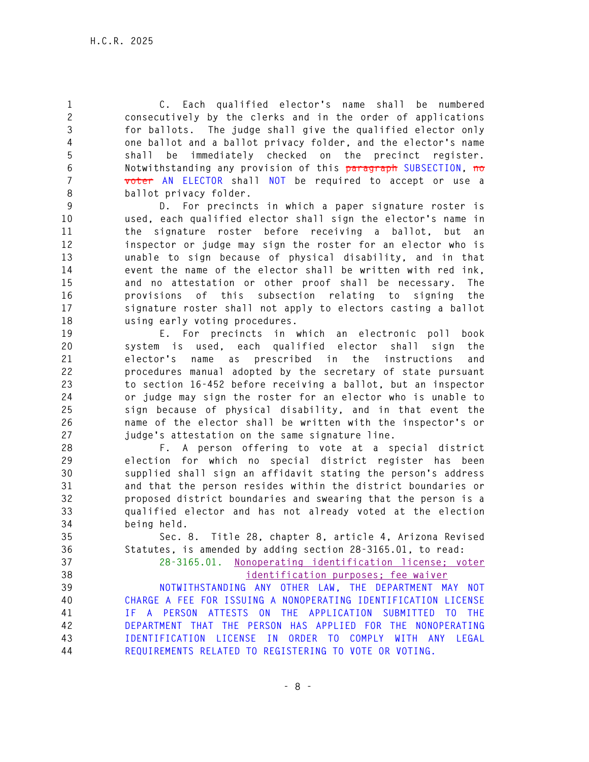**1 C. Each qualified elector's name shall be numbered 2 consecutively by the clerks and in the order of applications 3 for ballots. The judge shall give the qualified elector only 4 one ballot and a ballot privacy folder, and the elector's name 5 shall be immediately checked on the precinct register. 6 Notwithstanding any provision of this paragraph SUBSECTION, no 7 voter AN ELECTOR shall NOT be required to accept or use a 8 ballot privacy folder.** 

**9 D. For precincts in which a paper signature roster is 10 used, each qualified elector shall sign the elector's name in 11 the signature roster before receiving a ballot, but an 12 inspector or judge may sign the roster for an elector who is 13 unable to sign because of physical disability, and in that 14 event the name of the elector shall be written with red ink, 15 and no attestation or other proof shall be necessary. The 16 provisions of this subsection relating to signing the 17 signature roster shall not apply to electors casting a ballot 18 using early voting procedures.** 

**19 E. For precincts in which an electronic poll book 20 system is used, each qualified elector shall sign the 21 elector's name as prescribed in the instructions and 22 procedures manual adopted by the secretary of state pursuant 23 to section 16-452 before receiving a ballot, but an inspector 24 or judge may sign the roster for an elector who is unable to 25 sign because of physical disability, and in that event the 26 name of the elector shall be written with the inspector's or 27 judge's attestation on the same signature line.** 

**28 F. A person offering to vote at a special district 29 election for which no special district register has been 30 supplied shall sign an affidavit stating the person's address 31 and that the person resides within the district boundaries or 32 proposed district boundaries and swearing that the person is a 33 qualified elector and has not already voted at the election 34 being held.** 

**35 Sec. 8. Title 28, chapter 8, article 4, Arizona Revised 36 Statutes, is amended by adding section 28-3165.01, to read:** 

**37 28-3165.01. Nonoperating identification license; voter 38 identification purposes; fee waiver** 

**39 NOTWITHSTANDING ANY OTHER LAW, THE DEPARTMENT MAY NOT 40 CHARGE A FEE FOR ISSUING A NONOPERATING IDENTIFICATION LICENSE 41 IF A PERSON ATTESTS ON THE APPLICATION SUBMITTED TO THE 42 DEPARTMENT THAT THE PERSON HAS APPLIED FOR THE NONOPERATING 43 IDENTIFICATION LICENSE IN ORDER TO COMPLY WITH ANY LEGAL 44 REQUIREMENTS RELATED TO REGISTERING TO VOTE OR VOTING.**